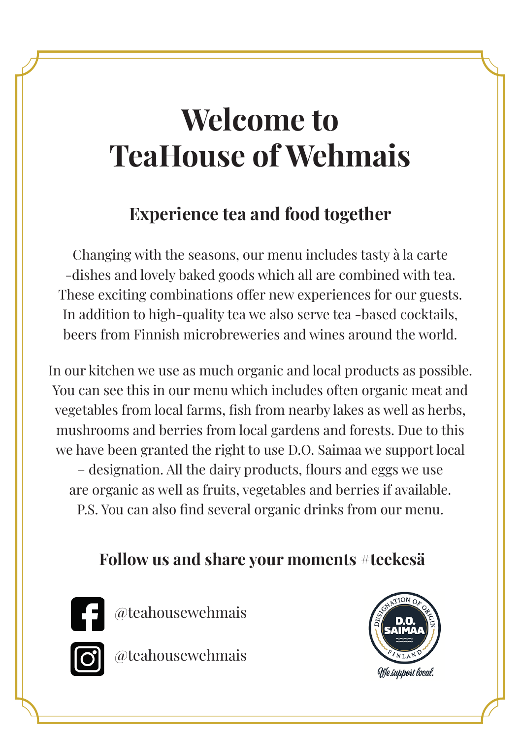# **Welcome to TeaHouse of Wehmais**

## **Experience tea and food together**

Changing with the seasons, our menu includes tasty à la carte -dishes and lovely baked goods which all are combined with tea. These exciting combinations offer new experiences for our guests. In addition to high-quality tea we also serve tea -based cocktails, beers from Finnish microbreweries and wines around the world.

In our kitchen we use as much organic and local products as possible. You can see this in our menu which includes often organic meat and vegetables from local farms, fish from nearby lakes as well as herbs, mushrooms and berries from local gardens and forests. Due to this we have been granted the right to use D.O. Saimaa we support local – designation. All the dairy products, flours and eggs we use are organic as well as fruits, vegetables and berries if available.

P.S. You can also find several organic drinks from our menu.

### **Follow us and share your moments #teekesä**



@teahousewehmais



@teahousewehmais

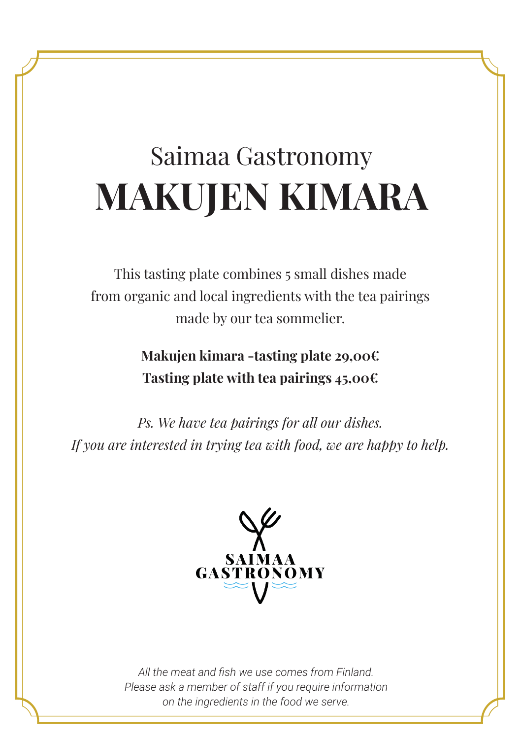# Saimaa Gastronomy **MAKUJEN KIMARA**

This tasting plate combines 5 small dishes made from organic and local ingredients with the tea pairings made by our tea sommelier.

> **Makujen kimara -tasting plate 29,00€ Tasting plate with tea pairings 45,00€**

*Ps. We have tea pairings for all our dishes. If you are interested in trying tea with food, we are happy to help.*

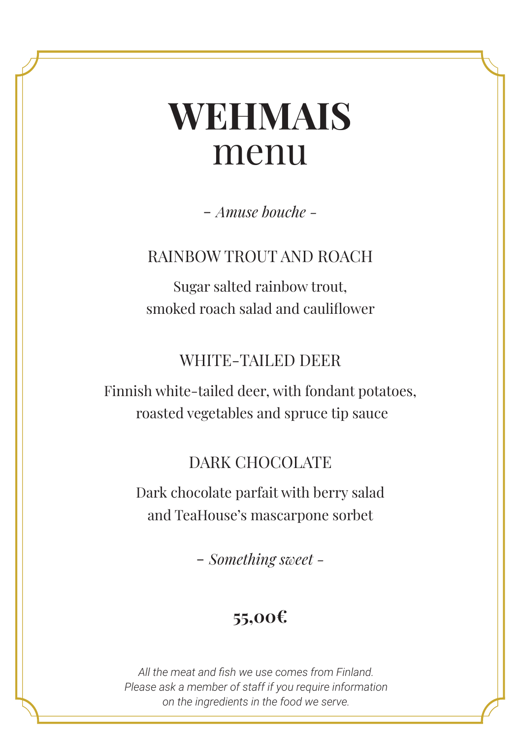# **WEHMAIS** menu

- *Amuse bouche -*

RAINBOW TROUT AND ROACH

Sugar salted rainbow trout, smoked roach salad and cauliflower

#### WHITE-TAILED DEER

Finnish white-tailed deer, with fondant potatoes, roasted vegetables and spruce tip sauce

### DARK CHOCOLATE

Dark chocolate parfait with berry salad and TeaHouse's mascarpone sorbet

- *Something sweet -*

## **55,00€**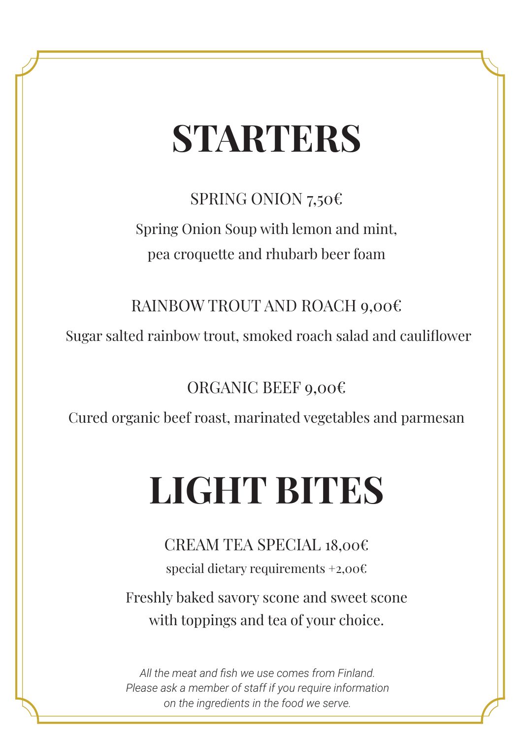# **STARTERS**

SPRING ONION 7,50€

Spring Onion Soup with lemon and mint, pea croquette and rhubarb beer foam

RAINBOW TROUT AND ROACH 9,00€

Sugar salted rainbow trout, smoked roach salad and cauliflower

ORGANIC BEEF 9,00€

Cured organic beef roast, marinated vegetables and parmesan

# **LIGHT BITES**

CREAM TEA SPECIAL 18,00€ special dietary requirements +2,00€ Freshly baked savory scone and sweet scone with toppings and tea of your choice.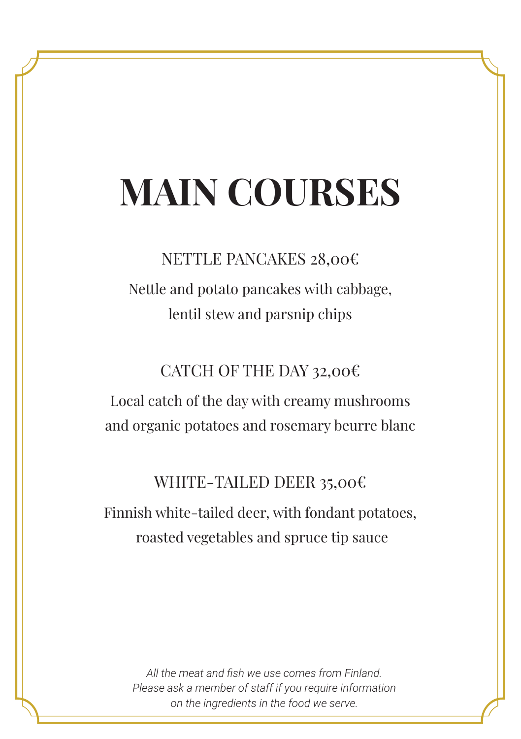# **MAIN COURSES**

## NETTLE PANCAKES 28,00€ Nettle and potato pancakes with cabbage, lentil stew and parsnip chips

CATCH OF THE DAY 32,00€

Local catch of the day with creamy mushrooms and organic potatoes and rosemary beurre blanc

#### WHITE-TAILED DEER 35,00€

Finnish white-tailed deer, with fondant potatoes, roasted vegetables and spruce tip sauce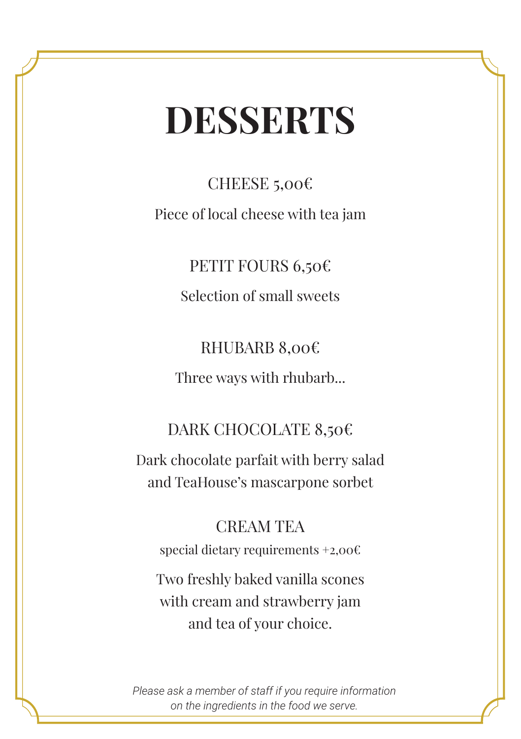# **DESSERTS**

CHEESE 5,00€ Piece of local cheese with tea jam

> PETIT FOURS 6,50€ Selection of small sweets

RHUBARB 8,00€ Three ways with rhubarb...

### DARK CHOCOLATE 8,50€

Dark chocolate parfait with berry salad and TeaHouse's mascarpone sorbet

#### CREAM TEA

special dietary requirements +2,00€

Two freshly baked vanilla scones with cream and strawberry jam and tea of your choice.

*Please ask a member of staff if you require information on the ingredients in the food we serve.*